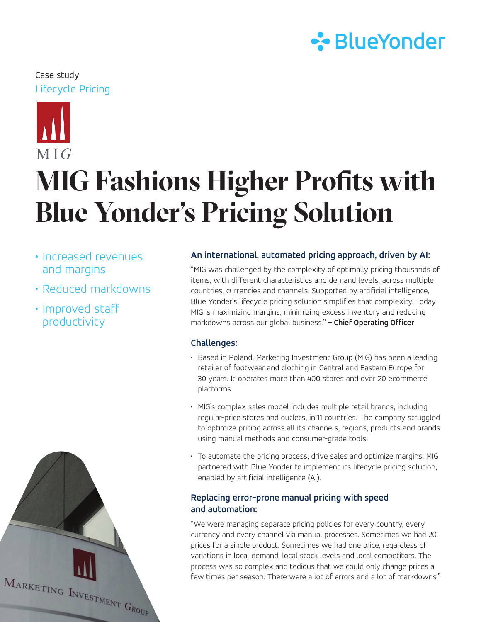## **∻**BlueYonder

### Lifecycle Pricing Case study



# **MIG Fashions Higher Profits with Blue Yonder's Pricing Solution**

- Increased revenues and margins
- Reduced markdowns
- Improved staff productivity

#### **An international, automated pricing approach, driven by AI:**

"MIG was challenged by the complexity of optimally pricing thousands of items, with different characteristics and demand levels, across multiple countries, currencies and channels. Supported by artificial intelligence, Blue Yonder's lifecycle pricing solution simplifies that complexity. Today MIG is maximizing margins, minimizing excess inventory and reducing markdowns across our global business." **– Chief Operating Officer**

#### **Challenges:**

- Based in Poland, Marketing Investment Group (MIG) has been a leading retailer of footwear and clothing in Central and Eastern Europe for 30 years. It operates more than 400 stores and over 20 ecommerce platforms.
- MIG's complex sales model includes multiple retail brands, including regular-price stores and outlets, in 11 countries. The company struggled to optimize pricing across all its channels, regions, products and brands using manual methods and consumer-grade tools.
- To automate the pricing process, drive sales and optimize margins, MIG partnered with Blue Yonder to implement its lifecycle pricing solution, enabled by artificial intelligence (AI).

#### **Replacing error-prone manual pricing with speed and automation:**

"We were managing separate pricing policies for every country, every currency and every channel via manual processes. Sometimes we had 20 prices for a single product. Sometimes we had one price, regardless of variations in local demand, local stock levels and local competitors. The process was so complex and tedious that we could only change prices a few times per season. There were a lot of errors and a lot of markdowns."